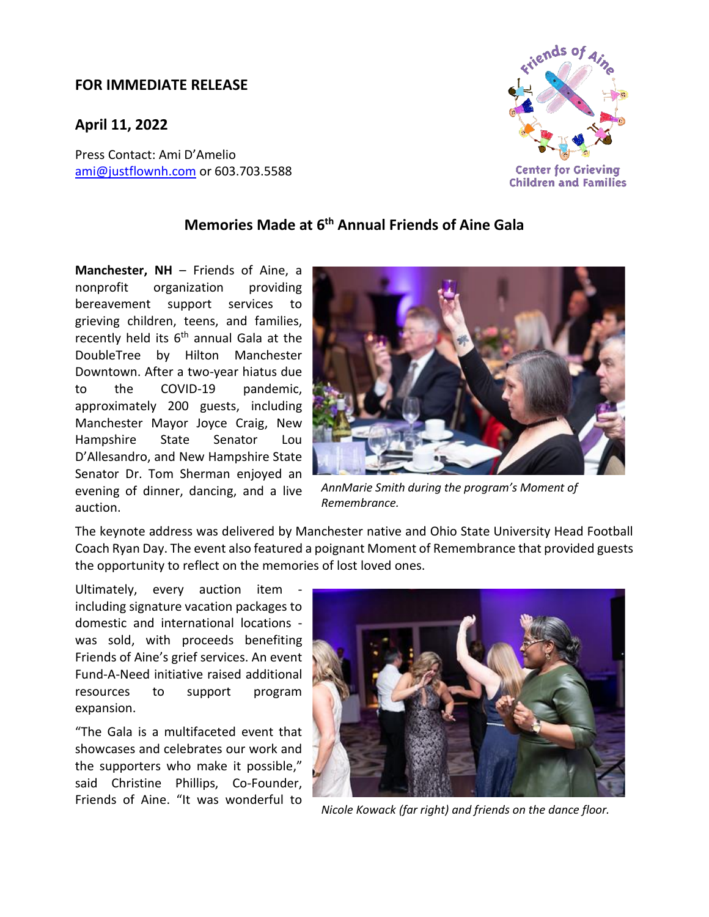## **FOR IMMEDIATE RELEASE**

**April 11, 2022**

Press Contact: Ami D'Amelio [ami@justflownh.com](mailto:ami@justflownh.com)</u> or 603.703.5588



## **Memories Made at 6 th Annual Friends of Aine Gala**

**Manchester, NH** – Friends of Aine, a nonprofit organization providing bereavement support services to grieving children, teens, and families, recently held its 6<sup>th</sup> annual Gala at the DoubleTree by Hilton Manchester Downtown. After a two-year hiatus due to the COVID-19 pandemic, approximately 200 guests, including Manchester Mayor Joyce Craig, New Hampshire State Senator Lou D'Allesandro, and New Hampshire State Senator Dr. Tom Sherman enjoyed an evening of dinner, dancing, and a live auction.



*AnnMarie Smith during the program's Moment of Remembrance.*

The keynote address was delivered by Manchester native and Ohio State University Head Football Coach Ryan Day. The event also featured a poignant Moment of Remembrance that provided guests the opportunity to reflect on the memories of lost loved ones.

Ultimately, every auction item including signature vacation packages to domestic and international locations was sold, with proceeds benefiting Friends of Aine's grief services. An event Fund-A-Need initiative raised additional resources to support program expansion.

"The Gala is a multifaceted event that showcases and celebrates our work and the supporters who make it possible," said Christine Phillips, Co-Founder, Friends of Aine. "It was wonderful to



*Nicole Kowack (far right) and friends on the dance floor.*